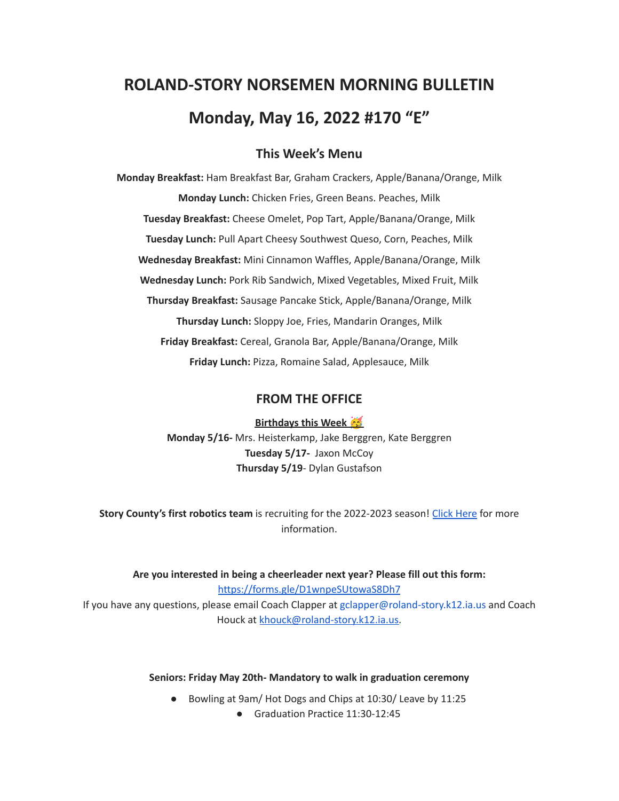# **ROLAND-STORY NORSEMEN MORNING BULLETIN Monday, May 16, 2022 #170 "E"**

# **This Week's Menu**

**Monday Breakfast:** Ham Breakfast Bar, Graham Crackers, Apple/Banana/Orange, Milk **Monday Lunch:** Chicken Fries, Green Beans. Peaches, Milk **Tuesday Breakfast:** Cheese Omelet, Pop Tart, Apple/Banana/Orange, Milk **Tuesday Lunch:** Pull Apart Cheesy Southwest Queso, Corn, Peaches, Milk **Wednesday Breakfast:** Mini Cinnamon Waffles, Apple/Banana/Orange, Milk **Wednesday Lunch:** Pork Rib Sandwich, Mixed Vegetables, Mixed Fruit, Milk **Thursday Breakfast:** Sausage Pancake Stick, Apple/Banana/Orange, Milk **Thursday Lunch:** Sloppy Joe, Fries, Mandarin Oranges, Milk **Friday Breakfast:** Cereal, Granola Bar, Apple/Banana/Orange, Milk **Friday Lunch:** Pizza, Romaine Salad, Applesauce, Milk

## **FROM THE OFFICE**

**Birthdays this Week Monday 5/16-** Mrs. Heisterkamp, Jake Berggren, Kate Berggren **Tuesday 5/17-** Jaxon McCoy **Thursday 5/19**- Dylan Gustafson

**Story County's first robotics team** is recruiting for the 2022-2023 season! Click [Here](https://www.youtube.com/watch?v=DJLEO_voM-8) for more information.

**Are you interested in being a cheerleader next year? Please fill out this form:** <https://forms.gle/D1wnpeSUtowaS8Dh7> If you have any questions, please email Coach Clapper at gclapper@roland-story.k12.ia.us and Coach Houck at [khouck@roland-story.k12.ia.us.](mailto:khouck@roland-story.k12.ia.us)

#### **Seniors: Friday May 20th- Mandatory to walk in graduation ceremony**

- Bowling at 9am/ Hot Dogs and Chips at 10:30/ Leave by 11:25
	- Graduation Practice 11:30-12:45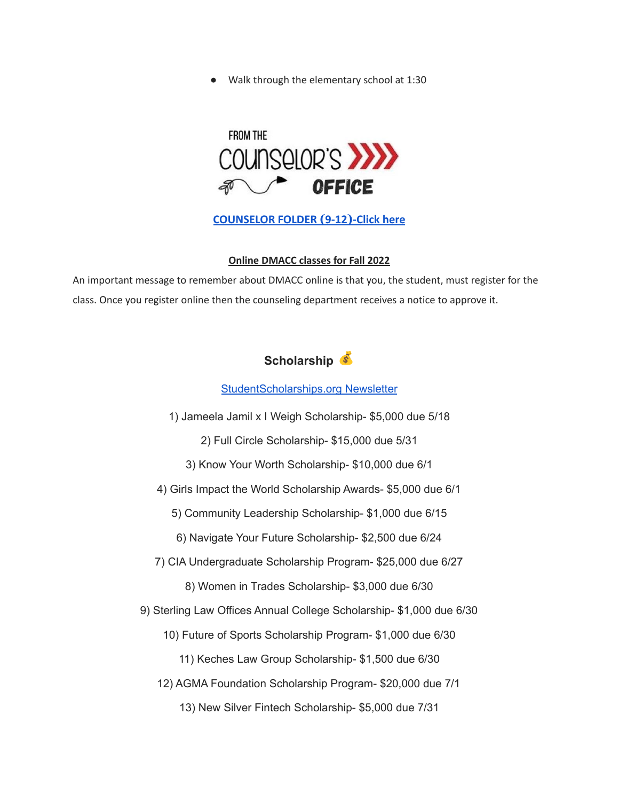Walk through the elementary school at 1:30



**[COUNSELOR FOLDER](https://docs.google.com/document/d/1vmwczNPbDzXe9vFaG5LJMQ7NYDv-i4oQJHybqA65TUc/edit?usp=sharing) (9-12)-Click here**

#### **Online DMACC classes for Fall 2022**

An important message to remember about DMACC online is that you, the student, must register for the class. Once you register online then the counseling department receives a notice to approve it.

# **Scholarship**

#### [StudentScholarships.org](https://drive.google.com/file/d/1qEKcx3GVK6vi8DB_QD_Px65Do1Dedcz6/view?usp=sharing) Newsletter

1) Jameela Jamil x I Weigh Scholarship- \$5,000 due 5/18

2) Full Circle Scholarship- \$15,000 due 5/31

3) Know Your Worth Scholarship- \$10,000 due 6/1

4) Girls Impact the World Scholarship Awards- \$5,000 due 6/1

5) Community Leadership Scholarship- \$1,000 due 6/15

6) Navigate Your Future Scholarship- \$2,500 due 6/24

7) CIA Undergraduate Scholarship Program- \$25,000 due 6/27

8) Women in Trades Scholarship- \$3,000 due 6/30

9) Sterling Law Offices Annual College Scholarship- \$1,000 due 6/30

10) Future of Sports Scholarship Program- \$1,000 due 6/30

11) Keches Law Group Scholarship- \$1,500 due 6/30

12) AGMA Foundation Scholarship Program- \$20,000 due 7/1

13) New Silver Fintech Scholarship- \$5,000 due 7/31